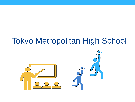## Tokyo Metropolitan High School

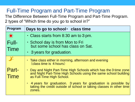## Full-Time Program and Part-Time Program

The Difference Between Full-Time Program and Part-Time Program. 2 types of "Which time do you go to school in?"

| Program                     | Days to go to school · class time                                                                                                                              |
|-----------------------------|----------------------------------------------------------------------------------------------------------------------------------------------------------------|
| 美                           | • Class starts from 8:30 am to 3 pm.                                                                                                                           |
| Full-<br><b>Time</b>        | · School day is from Mon to Fri<br>but some school has class on Sat.                                                                                           |
|                             | • 3 years for graduation.                                                                                                                                      |
|                             | • Take class either in morning, afternoon and evening<br>(class time is 4 hours)                                                                               |
| <b>Part-</b><br><b>Time</b> | Day and Night Part-Time High Schools which has the 3 time zone<br>and Night Part-Time High Schools using the same school building<br>as Full-Time High School. |
|                             | 4 years for graduation. 3 years for graduation is possible by<br>taking the credit outside of school or taking classes in other time<br>zones.                 |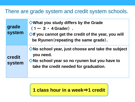## There are grade system and credit system schools.

| grade<br>system  | ◆ What you study differs by the Grade<br>$(1 - 3 \cdot 4$ Grader).<br>♦ If you cannot get the credit of the year, you will<br>be Ryunen (repeating the same grade). |
|------------------|---------------------------------------------------------------------------------------------------------------------------------------------------------------------|
| credit<br>system | ◆No school year, just choose and take the subject<br>you need.<br>◆No school year so no ryunen but you have to<br>take the credit needed for graduation.            |

**1 class hour in a week**⇒**1 credit**